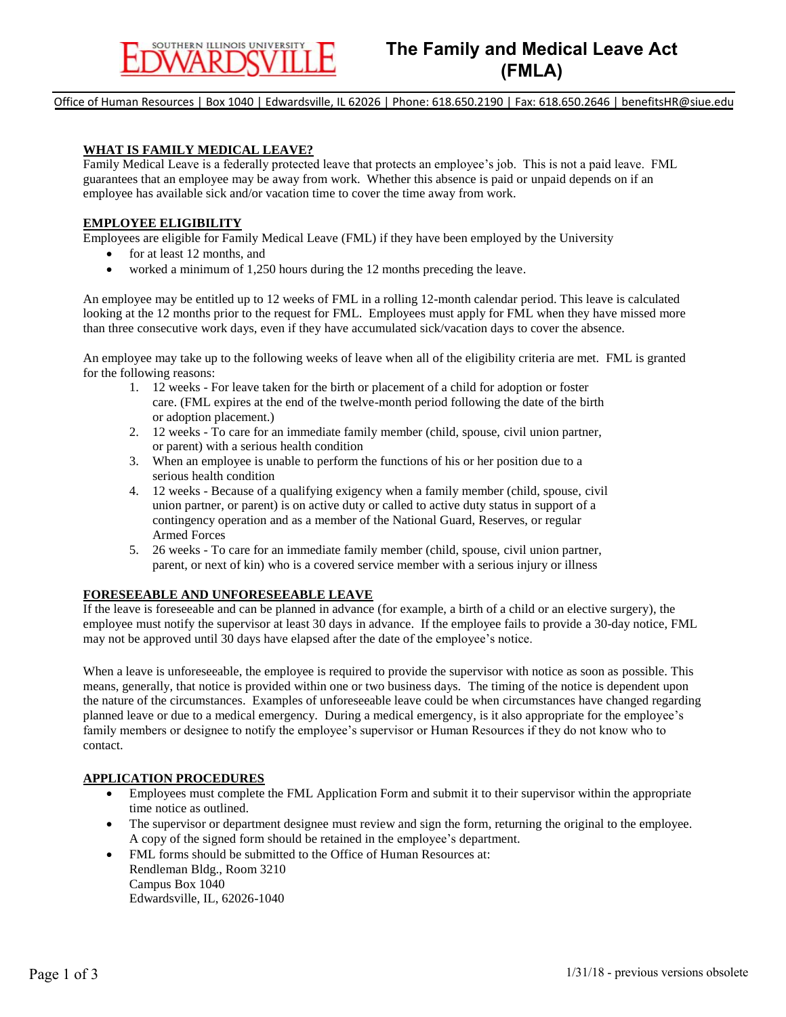Office of Human Resources | Box 1040 | Edwardsville, IL 62026 | Phone: 618.650.2190 | Fax: 618.650.2646 | benefitsHR@siue.edu

#### **WHAT IS FAMILY MEDICAL LEAVE?**

Family Medical Leave is a federally protected leave that protects an employee's job. This is not a paid leave. FML guarantees that an employee may be away from work. Whether this absence is paid or unpaid depends on if an employee has available sick and/or vacation time to cover the time away from work.

#### **EMPLOYEE ELIGIBILITY**

Employees are eligible for Family Medical Leave (FML) if they have been employed by the University

- for at least 12 months, and
- worked a minimum of 1,250 hours during the 12 months preceding the leave.

An employee may be entitled up to 12 weeks of FML in a rolling 12-month calendar period. This leave is calculated looking at the 12 months prior to the request for FML. Employees must apply for FML when they have missed more than three consecutive work days, even if they have accumulated sick/vacation days to cover the absence.

An employee may take up to the following weeks of leave when all of the eligibility criteria are met. FML is granted for the following reasons:

- 1. 12 weeks For leave taken for the birth or placement of a child for adoption or foster care. (FML expires at the end of the twelve-month period following the date of the birth or adoption placement.)
- 2. 12 weeks To care for an immediate family member (child, spouse, civil union partner, or parent) with a serious health condition
- 3. When an employee is unable to perform the functions of his or her position due to a serious health condition
- 4. 12 weeks Because of a qualifying exigency when a family member (child, spouse, civil union partner, or parent) is on active duty or called to active duty status in support of a contingency operation and as a member of the National Guard, Reserves, or regular Armed Forces
- 5. 26 weeks To care for an immediate family member (child, spouse, civil union partner, parent, or next of kin) who is a covered service member with a serious injury or illness

### **FORESEEABLE AND UNFORESEEABLE LEAVE**

If the leave is foreseeable and can be planned in advance (for example, a birth of a child or an elective surgery), the employee must notify the supervisor at least 30 days in advance. If the employee fails to provide a 30-day notice, FML may not be approved until 30 days have elapsed after the date of the employee's notice.

When a leave is unforeseeable, the employee is required to provide the supervisor with notice as soon as possible. This means, generally, that notice is provided within one or two business days. The timing of the notice is dependent upon the nature of the circumstances. Examples of unforeseeable leave could be when circumstances have changed regarding planned leave or due to a medical emergency. During a medical emergency, is it also appropriate for the employee's family members or designee to notify the employee's supervisor or Human Resources if they do not know who to contact.

#### **APPLICATION PROCEDURES**

- Employees must complete the FML Application Form and submit it to their supervisor within the appropriate time notice as outlined.
- The supervisor or department designee must review and sign the form, returning the original to the employee. A copy of the signed form should be retained in the employee's department.
- FML forms should be submitted to the Office of Human Resources at: Rendleman Bldg., Room 3210 Campus Box 1040 Edwardsville, IL, 62026-1040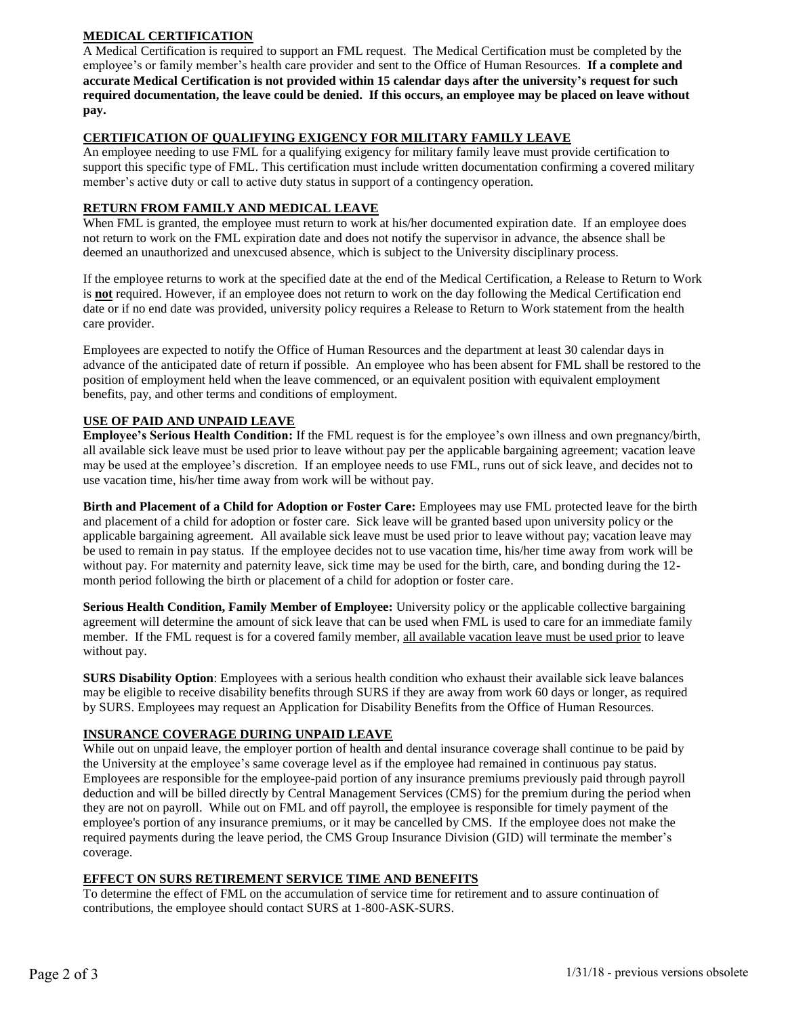# **MEDICAL CERTIFICATION**

A Medical Certification is required to support an FML request. The Medical Certification must be completed by the employee's or family member's health care provider and sent to the Office of Human Resources. **If a complete and accurate Medical Certification is not provided within 15 calendar days after the university's request for such required documentation, the leave could be denied. If this occurs, an employee may be placed on leave without pay.** 

## **CERTIFICATION OF QUALIFYING EXIGENCY FOR MILITARY FAMILY LEAVE**

An employee needing to use FML for a qualifying exigency for military family leave must provide certification to support this specific type of FML. This certification must include written documentation confirming a covered military member's active duty or call to active duty status in support of a contingency operation.

## **RETURN FROM FAMILY AND MEDICAL LEAVE**

When FML is granted, the employee must return to work at his/her documented expiration date. If an employee does not return to work on the FML expiration date and does not notify the supervisor in advance, the absence shall be deemed an unauthorized and unexcused absence, which is subject to the University disciplinary process.

If the employee returns to work at the specified date at the end of the Medical Certification, a Release to Return to Work is **not** required. However, if an employee does not return to work on the day following the Medical Certification end date or if no end date was provided, university policy requires a Release to Return to Work statement from the health care provider.

Employees are expected to notify the Office of Human Resources and the department at least 30 calendar days in advance of the anticipated date of return if possible. An employee who has been absent for FML shall be restored to the position of employment held when the leave commenced, or an equivalent position with equivalent employment benefits, pay, and other terms and conditions of employment.

## **USE OF PAID AND UNPAID LEAVE**

**Employee's Serious Health Condition:** If the FML request is for the employee's own illness and own pregnancy/birth, all available sick leave must be used prior to leave without pay per the applicable bargaining agreement; vacation leave may be used at the employee's discretion. If an employee needs to use FML, runs out of sick leave, and decides not to use vacation time, his/her time away from work will be without pay.

**Birth and Placement of a Child for Adoption or Foster Care:** Employees may use FML protected leave for the birth and placement of a child for adoption or foster care. Sick leave will be granted based upon university policy or the applicable bargaining agreement. All available sick leave must be used prior to leave without pay; vacation leave may be used to remain in pay status. If the employee decides not to use vacation time, his/her time away from work will be without pay. For maternity and paternity leave, sick time may be used for the birth, care, and bonding during the 12 month period following the birth or placement of a child for adoption or foster care.

**Serious Health Condition, Family Member of Employee:** University policy or the applicable collective bargaining agreement will determine the amount of sick leave that can be used when FML is used to care for an immediate family member. If the FML request is for a covered family member, all available vacation leave must be used prior to leave without pay.

**SURS Disability Option**: Employees with a serious health condition who exhaust their available sick leave balances may be eligible to receive disability benefits through SURS if they are away from work 60 days or longer, as required by SURS. Employees may request an Application for Disability Benefits from the Office of Human Resources.

# **INSURANCE COVERAGE DURING UNPAID LEAVE**

While out on unpaid leave, the employer portion of health and dental insurance coverage shall continue to be paid by the University at the employee's same coverage level as if the employee had remained in continuous pay status. Employees are responsible for the employee-paid portion of any insurance premiums previously paid through payroll deduction and will be billed directly by Central Management Services (CMS) for the premium during the period when they are not on payroll. While out on FML and off payroll, the employee is responsible for timely payment of the employee's portion of any insurance premiums, or it may be cancelled by CMS. If the employee does not make the required payments during the leave period, the CMS Group Insurance Division (GID) will terminate the member's coverage.

### **EFFECT ON SURS RETIREMENT SERVICE TIME AND BENEFITS**

To determine the effect of FML on the accumulation of service time for retirement and to assure continuation of contributions, the employee should contact SURS at 1-800-ASK-SURS.